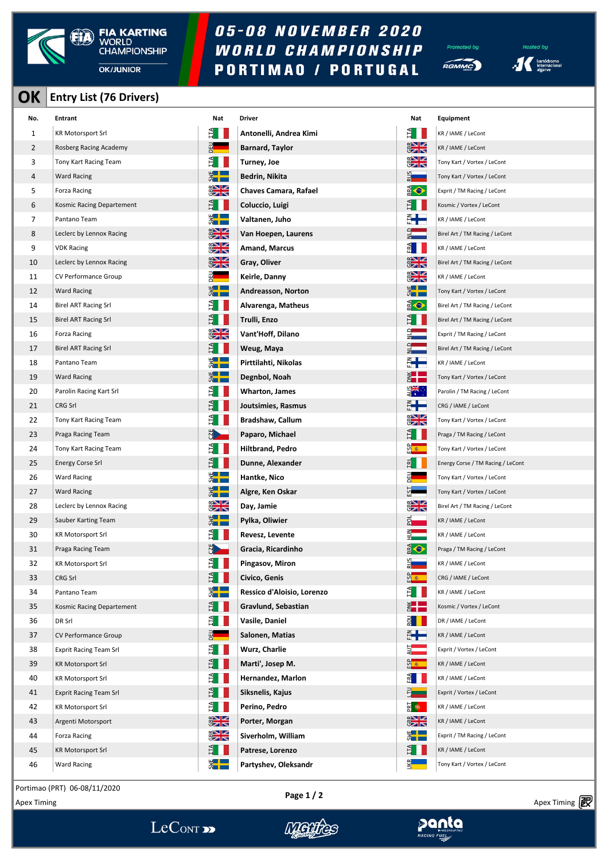

## 05-08 NOVEMBER 2020 WORLD CHAMPIONSHIP **PORTIMAO / PORTUGAL**

ted bu  $\widetilde{H}$ 

**Hosted by**  $\cdot$   $\left| \begin{array}{c} \begin{array}{c} \text{kartódromo} \\ \text{interracional} \end{array} \end{array} \right|$ 

## **OK Entry List (76 Drivers)**

| No. | Entrant                       | Nat           | Driver                     | Nat                 | Equipment                         |
|-----|-------------------------------|---------------|----------------------------|---------------------|-----------------------------------|
| 1   | <b>KR Motorsport Srl</b>      | É II          | Antonelli, Andrea Kimi     | E I I               | KR / IAME / LeCont                |
| 2   | Rosberg Racing Academy        | 몙             | <b>Barnard, Taylor</b>     | $rac{1}{2}$         | KR / IAME / LeCont                |
| 3   | Tony Kart Racing Team         | ÉП            | Turney, Joe                | $\frac{1}{2}$       | Tony Kart / Vortex / LeCont       |
| 4   | <b>Ward Racing</b>            | $rac{1}{2}$   | Bedrin, Nikita             | $rac{2}{2}$         | Tony Kart / Vortex / LeCont       |
| 5   | Forza Racing                  | $rac{1}{2}$   | Chaves Camara, Rafael      | <b>OB</b>           | Exprit / TM Racing / LeCont       |
| 6   | Kosmic Racing Departement     | E II          | Coluccio, Luigi            | Ê I I               | Kosmic / Vortex / LeCont          |
| 7   | Pantano Team                  | $rac{4}{5}$   | Valtanen, Juho             | ┋╋═                 | KR / IAME / LeCont                |
| 8   | Leclerc by Lennox Racing      | $rac{1}{2}$   | Van Hoepen, Laurens        | $\frac{1}{2}$       | Birel Art / TM Racing / LeCont    |
| 9   | <b>VDK Racing</b>             | $\frac{1}{2}$ | <b>Amand, Marcus</b>       | $\frac{d}{dt}$ $  $ | KR / IAME / LeCont                |
| 10  | Leclerc by Lennox Racing      | $\frac{1}{2}$ | Gray, Oliver               | $rac{1}{2}$         | Birel Art / TM Racing / LeCont    |
| 11  | CV Performance Group          | $\frac{1}{2}$ | Keirle, Danny              | $rac{1}{2}$         | KR / IAME / LeCont                |
| 12  | <b>Ward Racing</b>            | $rac{1}{2}$   | Andreasson, Norton         | $rac{1}{2}$         | Tony Kart / Vortex / LeCont       |
| 14  | <b>Birel ART Racing Srl</b>   | ÊĪ            | Alvarenga, Matheus         | <b>OB</b>           | Birel Art / TM Racing / LeCont    |
| 15  | <b>Birel ART Racing Srl</b>   | $H^2$         | Trulli, Enzo               | É II                | Birel Art / TM Racing / LeCont    |
| 16  | Forza Racing                  | $rac{1}{2}$   | Vant'Hoff, Dilano          | $\frac{1}{2}$       | Exprit / TM Racing / LeCont       |
| 17  | Birel ART Racing Srl          | $H_{\rm H}$   | Weug, Maya                 | $\frac{1}{2}$       | Birel Art / TM Racing / LeCont    |
| 18  | Pantano Team                  | $rac{1}{2}$   | Pirttilahti, Nikolas       | ┋╋═                 | KR / IAME / LeCont                |
| 19  | <b>Ward Racing</b>            | $rac{1}{2}$   | Degnbol, Noah              | ž <b>e po</b>       | Tony Kart / Vortex / LeCont       |
| 20  | Parolin Racing Kart Srl       | È.            | Wharton, James             | यू<br>वर्∗          | Parolin / TM Racing / LeCont      |
| 21  | CRG Srl                       | $H_{\rm H}$   | Joutsimies, Rasmus         | ┋╊═                 | CRG / IAME / LeCont               |
| 22  | Tony Kart Racing Team         | Ê.            | <b>Bradshaw, Callum</b>    | $rac{1}{2}$         | Tony Kart / Vortex / LeCont       |
| 23  | Praga Racing Team             | Ħ.            | Paparo, Michael            | Ê II.               | Praga / TM Racing / LeCont        |
| 24  | Tony Kart Racing Team         | Ê.            | <b>Hiltbrand, Pedro</b>    | <u>ထို ေ</u>        | Tony Kart / Vortex / LeCont       |
| 25  | <b>Energy Corse Srl</b>       | $H_{\rm H}$   | Dunne, Alexander           | $E$ $\blacksquare$  | Energy Corse / TM Racing / LeCont |
| 26  | <b>Ward Racing</b>            | $rac{4}{5}$   | Hantke, Nico               |                     | Tony Kart / Vortex / LeCont       |
| 27  | <b>Ward Racing</b>            | $rac{1}{2}$   | Algre, Ken Oskar           | 5                   | Tony Kart / Vortex / LeCont       |
| 28  | Leclerc by Lennox Racing      | $rac{1}{2}$   | Day, Jamie                 | $\frac{1}{2}$       | Birel Art / TM Racing / LeCont    |
| 29  | Sauber Karting Team           | $\frac{1}{2}$ | Pylka, Oliwier             | 합                   | KR / IAME / LeCont                |
| 30  | <b>KR Motorsport Srl</b>      | È.            | Revesz, Levente            | $\frac{2}{1}$       | KR / IAME / LeCont                |
| 31  | Praga Racing Team             | 5             | Gracia, Ricardinho         | <b>OB</b>           | Praga / TM Racing / LeCont        |
| 32  | <b>KR Motorsport Srl</b>      | É             | Pingasov, Miron            | Sfis                | KR / IAME / LeCont                |
| 33  | CRG Srl                       | E I           | Civico, Genis              | <u>ကို နွ</u> ေ     | CRG / IAME / LeCont               |
| 34  | Pantano Team                  | $rac{1}{2}$   | Ressico d'Aloisio, Lorenzo | È I                 | KR / IAME / LeCont                |
| 35  | Kosmic Racing Departement     | E.            | Gravlund, Sebastian        | $\frac{1}{5}$       | Kosmic / Vortex / LeCont          |
| 36  | DR Srl                        | Ê             | Vasile, Daniel             |                     | DR / IAME / LeCont                |
| 37  | CV Performance Group          |               | Salonen, Matias            | å <b>e</b>          | KR / IAME / LeCont                |
| 38  | <b>Exprit Racing Team Srl</b> | E.            | Wurz, Charlie              | $\frac{1}{2}$       | Exprit / Vortex / LeCont          |
| 39  | <b>KR Motorsport Srl</b>      | È.            | Marti', Josep M.           | <mark>ទី ៖</mark>   | KR / IAME / LeCont                |
| 40  | <b>KR Motorsport Srl</b>      | Ê             | Hernandez, Marlon          | Ê                   | KR / IAME / LeCont                |
| 41  | <b>Exprit Racing Team Srl</b> | $E_{\rm I}$   | Siksnelis, Kajus           | ۴,                  | Exprit / Vortex / LeCont          |
| 42  | <b>KR Motorsport Srl</b>      | Ê.            | Perino, Pedro              | $\frac{1}{2}$       | KR / IAME / LeCont                |
| 43  | Argenti Motorsport            | $rac{2}{3}$   | Porter, Morgan             | $rac{1}{2}$         | KR / IAME / LeCont                |
| 44  | Forza Racing                  | $\frac{1}{2}$ | Siverholm, William         | $\frac{1}{2}$       | Exprit / TM Racing / LeCont       |
| 45  | <b>KR Motorsport Srl</b>      | E             | Patrese, Lorenzo           | H                   | KR / IAME / LeCont                |
| 46  | <b>Ward Racing</b>            | $rac{1}{2}$   | Partyshev, Oleksandr       | īж                  | Tony Kart / Vortex / LeCont       |

| Driver                       |
|------------------------------|
| Antonelli, Andrea Kimi       |
| <b>Barnard, Taylor</b>       |
| Turney, Joe                  |
| Bedrin, Nikita               |
| <b>Chaves Camara, Rafael</b> |
| Coluccio, Luigi              |
| Valtanen, Juho               |
| Van Hoepen, Laurens          |
| <b>Amand, Marcus</b>         |
| Gray, Oliver                 |
| Keirle, Danny                |
| <b>Andreasson, Norton</b>    |
| Alvarenga, Matheus           |
| Trulli, Enzo                 |
| Vant'Hoff, Dilano            |
| Weug, Maya                   |
| Pirttilahti, Nikolas         |
| Degnbol, Noah                |
| <b>Wharton, James</b>        |
| Joutsimies, Rasmus           |
| <b>Bradshaw, Callum</b>      |
| Paparo, Michael              |
| <b>Hiltbrand, Pedro</b>      |
| Dunne, Alexander             |
| Hantke, Nico                 |
| Algre, Ken Oskar             |
| Day, Jamie                   |
| Pylka, Oliwier               |
| Revesz, Levente              |
| Gracia, Ricardinho           |
| Pingasov, Miron              |
| Civico, Genis                |
| Ressico d'Aloisio, Lorenzo   |
| Gravlund, Sebastian          |
| Vasile, Daniel               |
| Salonen, Matias              |
| Wurz, Charlie                |
| Marti', Josep M.             |
| Hernandez, Marlon            |
| Siksnelis, Kajus             |
| Perino, Pedro                |
| Porter, Morgan               |
| Siverholm, William           |
| Patrese, Lorenzo             |
| Partyshev, Oleksandr         |
|                              |

| Vat                               | <b>Equipment</b>                                     |
|-----------------------------------|------------------------------------------------------|
|                                   | KR / IAME / LeCont                                   |
| ◛<br>বায                          | KR / IAME / LeCont                                   |
| আ⊿<br>$\overline{\mathbb{Z}}$     | Tony Kart / Vortex / LeCont                          |
|                                   | Tony Kart / Vortex / LeCont                          |
| $\triangle$                       | Exprit / TM Racing / LeCont                          |
|                                   | Kosmic / Vortex / LeCont                             |
| Ë                                 | KR / IAME / LeCont                                   |
|                                   | Birel Art / TM Racing / LeCont                       |
|                                   | KR / IAME / LeCont                                   |
| ∐∠<br>↗                           | Birel Art / TM Racing / LeCont                       |
| V<br>$\boxtimes$                  | KR / IAME / LeCont                                   |
|                                   | Tony Kart / Vortex / LeCont                          |
| ♦                                 | Birel Art / TM Racing / LeCont                       |
|                                   | Birel Art / TM Racing / LeCont                       |
|                                   | Exprit / TM Racing / LeCont                          |
|                                   | Birel Art / TM Racing / LeCont                       |
|                                   | KR / IAME / LeCont                                   |
|                                   | Tony Kart / Vortex / LeCont                          |
| ▓                                 | Parolin / TM Racing / LeCont                         |
|                                   | CRG / IAME / LeCont                                  |
| ZR                                | Tony Kart / Vortex / LeCont                          |
|                                   | Praga / TM Racing / LeCont                           |
| 6.                                | Tony Kart / Vortex / LeCont                          |
|                                   | Energy Corse / TM Racing / LeCont                    |
|                                   | Tony Kart / Vortex / LeCont                          |
| ⊻⊻                                | Tony Kart / Vortex / LeCont                          |
| $\overline{\mathbb{Z}}\mathbb{N}$ | Birel Art / TM Racing / LeCont<br>KR / IAME / LeCont |
| $\sim$                            | KR / IAME / LeCont                                   |
| $\bullet$                         | Praga / TM Racing / LeCont                           |
|                                   | KR / IAME / LeCont                                   |
| 渝                                 | CRG / IAME / LeCont                                  |
|                                   | KR / IAME / LeCont                                   |
|                                   | Kosmic / Vortex / LeCont                             |
|                                   | DR / IAME / LeCont                                   |
|                                   | KR / IAME / LeCont                                   |
|                                   | Exprit / Vortex / LeCont                             |
| 渝                                 | KR / IAME / LeCont                                   |
|                                   | KR / IAME / LeCont                                   |
|                                   | Exprit / Vortex / LeCont                             |
| €                                 | KR / IAME / LeCont                                   |
| ◥                                 | KR / IAME / LeCont                                   |
|                                   | Exprit / TM Racing / LeCont                          |
|                                   | KR / IAME / LeCont                                   |
|                                   | Tony Kart / Vortex / LeCont                          |
|                                   |                                                      |

Portimao (PRT) 06-08/11/2020

Apex Timing - timing solutions and services http://www.apex-timing.com/

LeCONT<sub>>></sub>

**Page 1 / 2**